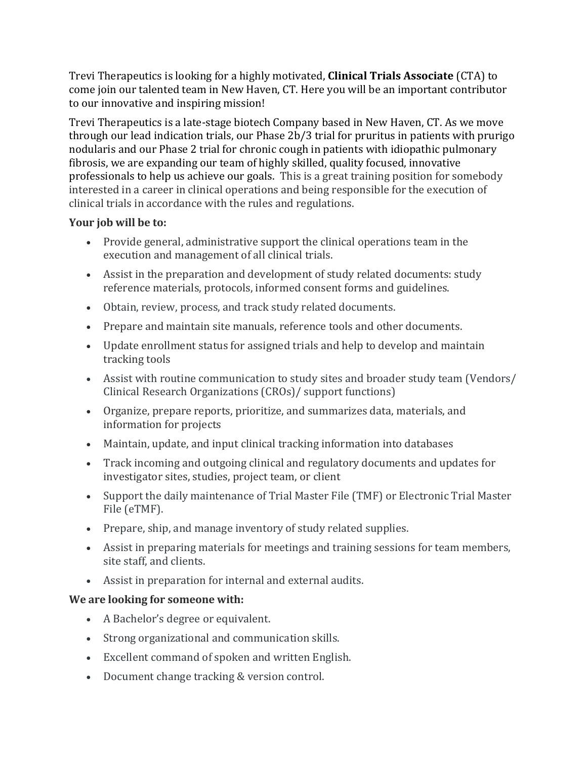Trevi Therapeutics is looking for a highly motivated, **Clinical Trials Associate** (CTA) to come join our talented team in New Haven, CT. Here you will be an important contributor to our innovative and inspiring mission!

Trevi Therapeutics is a late-stage biotech Company based in New Haven, CT. As we move through our lead indication trials, our Phase 2b/3 trial for pruritus in patients with prurigo nodularis and our Phase 2 trial for chronic cough in patients with idiopathic pulmonary fibrosis, we are expanding our team of highly skilled, quality focused, innovative professionals to help us achieve our goals. This is a great training position for somebody interested in a career in clinical operations and being responsible for the execution of clinical trials in accordance with the rules and regulations.

## **Your job will be to:**

- Provide general, administrative support the clinical operations team in the execution and management of all clinical trials.
- Assist in the preparation and development of study related documents: study reference materials, protocols, informed consent forms and guidelines.
- Obtain, review, process, and track study related documents.
- Prepare and maintain site manuals, reference tools and other documents.
- Update enrollment status for assigned trials and help to develop and maintain tracking tools
- Assist with routine communication to study sites and broader study team (Vendors/ Clinical Research Organizations (CROs)/ support functions)
- Organize, prepare reports, prioritize, and summarizes data, materials, and information for projects
- Maintain, update, and input clinical tracking information into databases
- Track incoming and outgoing clinical and regulatory documents and updates for investigator sites, studies, project team, or client
- Support the daily maintenance of Trial Master File (TMF) or Electronic Trial Master File (eTMF).
- Prepare, ship, and manage inventory of study related supplies.
- Assist in preparing materials for meetings and training sessions for team members, site staff, and clients.
- Assist in preparation for internal and external audits.

## **We are looking for someone with:**

- A Bachelor's degree or equivalent.
- Strong organizational and communication skills.
- Excellent command of spoken and written English.
- Document change tracking & version control.